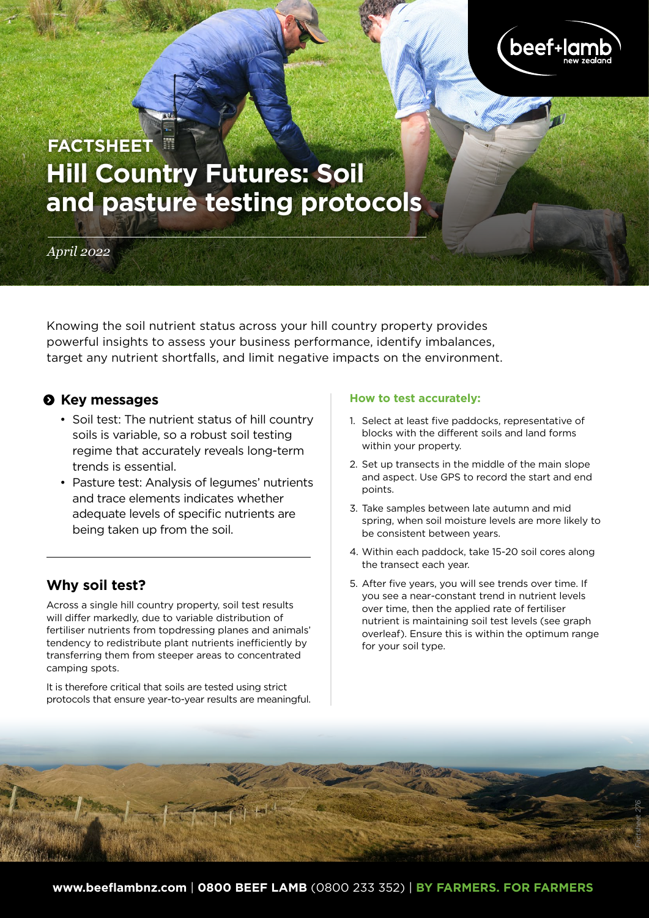

# **Hill Country Futures: Soil and pasture testing protocols FACTSHEET**

## *April 2022*

Knowing the soil nutrient status across your hill country property provides powerful insights to assess your business performance, identify imbalances, target any nutrient shortfalls, and limit negative impacts on the environment.

## $\odot$  Key messages

- Soil test: The nutrient status of hill country soils is variable, so a robust soil testing regime that accurately reveals long-term trends is essential.
- Pasture test: Analysis of legumes' nutrients and trace elements indicates whether adequate levels of specific nutrients are being taken up from the soil.

# **Why soil test?**

Across a single hill country property, soil test results will differ markedly, due to variable distribution of fertiliser nutrients from topdressing planes and animals' tendency to redistribute plant nutrients inefficiently by transferring them from steeper areas to concentrated camping spots.

It is therefore critical that soils are tested using strict protocols that ensure year-to-year results are meaningful.

### **How to test accurately:**

- 1. Select at least five paddocks, representative of blocks with the different soils and land forms within your property.
- 2. Set up transects in the middle of the main slope and aspect. Use GPS to record the start and end points.
- 3. Take samples between late autumn and mid spring, when soil moisture levels are more likely to be consistent between years.
- 4. Within each paddock, take 15-20 soil cores along the transect each year.
- 5. After five years, you will see trends over time. If you see a near-constant trend in nutrient levels over time, then the applied rate of fertiliser nutrient is maintaining soil test levels (see graph overleaf). Ensure this is within the optimum range for your soil type.